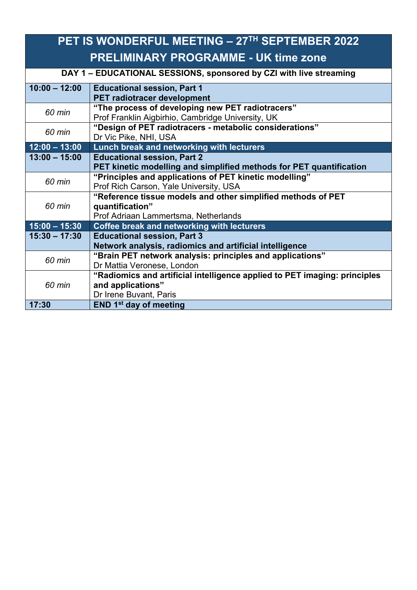| PET IS WONDERFUL MEETING - 27TH SEPTEMBER 2022                     |                                                                                                                          |  |
|--------------------------------------------------------------------|--------------------------------------------------------------------------------------------------------------------------|--|
| <b>PRELIMINARY PROGRAMME - UK time zone</b>                        |                                                                                                                          |  |
| DAY 1 - EDUCATIONAL SESSIONS, sponsored by CZI with live streaming |                                                                                                                          |  |
| $10:00 - 12:00$                                                    | <b>Educational session, Part 1</b><br><b>PET radiotracer development</b>                                                 |  |
| 60 min                                                             | "The process of developing new PET radiotracers"<br>Prof Franklin Aigbirhio, Cambridge University, UK                    |  |
| 60 min                                                             | "Design of PET radiotracers - metabolic considerations"<br>Dr Vic Pike, NHI, USA                                         |  |
| $12:00 - 13:00$                                                    | Lunch break and networking with lecturers                                                                                |  |
| $13:00 - 15:00$                                                    | <b>Educational session, Part 2</b><br>PET kinetic modelling and simplified methods for PET quantification                |  |
| 60 min                                                             | "Principles and applications of PET kinetic modelling"<br>Prof Rich Carson, Yale University, USA                         |  |
| 60 min                                                             | "Reference tissue models and other simplified methods of PET<br>quantification"<br>Prof Adriaan Lammertsma, Netherlands  |  |
| $15:00 - 15:30$                                                    | Coffee break and networking with lecturers                                                                               |  |
| $15:30 - 17:30$                                                    | <b>Educational session, Part 3</b><br>Network analysis, radiomics and artificial intelligence                            |  |
| 60 min                                                             | "Brain PET network analysis: principles and applications"<br>Dr Mattia Veronese, London                                  |  |
| 60 min                                                             | "Radiomics and artificial intelligence applied to PET imaging: principles<br>and applications"<br>Dr Irene Buvant, Paris |  |
| 17:30                                                              | END 1 <sup>st</sup> day of meeting                                                                                       |  |